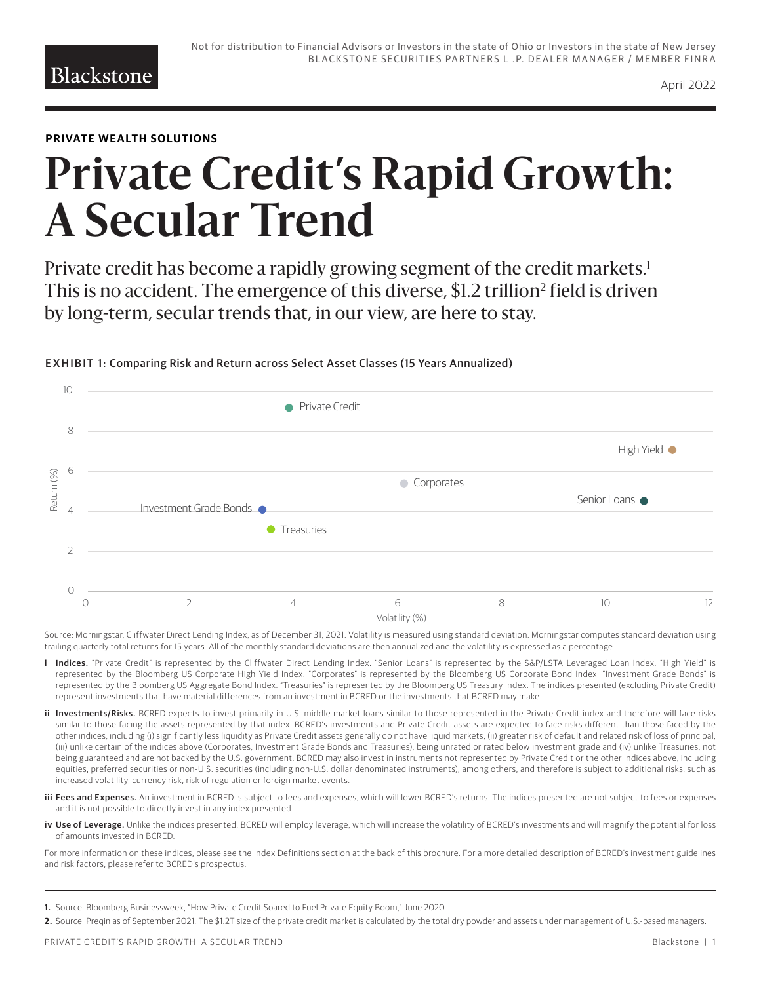### **PRIVATE WEALTH SOLUTIONS**

# **Private Credit's Rapid Growth: A Secular Trend**

Private credit has become a rapidly growing segment of the credit markets.<sup>1</sup> This is no accident. The emergence of this diverse, \$1.2 trillion<sup>2</sup> field is driven by long-term, secular trends that, in our view, are here to stay.



#### EXHIBIT 1: Comparing Risk and Return across Select Asset Classes (15 Years Annualized)

Source: Morningstar, Cliffwater Direct Lending Index, as of December 31, 2021. Volatility is measured using standard deviation. Morningstar computes standard deviation using trailing quarterly total returns for 15 years. All of the monthly standard deviations are then annualized and the volatility is expressed as a percentage.

- i Indices. "Private Credit" is represented by the Cliffwater Direct Lending Index. "Senior Loans" is represented by the S&P/LSTA Leveraged Loan Index. "High Yield" is represented by the Bloomberg US Corporate High Yield Index. "Corporates" is represented by the Bloomberg US Corporate Bond Index. "Investment Grade Bonds" is represented by the Bloomberg US Aggregate Bond Index. "Treasuries" is represented by the Bloomberg US Treasury Index. The indices presented (excluding Private Credit) represent investments that have material differences from an investment in BCRED or the investments that BCRED may make.
- ii Investments/Risks. BCRED expects to invest primarily in U.S. middle market loans similar to those represented in the Private Credit index and therefore will face risks similar to those facing the assets represented by that index. BCRED's investments and Private Credit assets are expected to face risks different than those faced by the other indices, including (i) significantly less liquidity as Private Credit assets generally do not have liquid markets, (ii) greater risk of default and related risk of loss of principal, (iii) unlike certain of the indices above (Corporates, Investment Grade Bonds and Treasuries), being unrated or rated below investment grade and (iv) unlike Treasuries, not being guaranteed and are not backed by the U.S. government. BCRED may also invest in instruments not represented by Private Credit or the other indices above, including equities, preferred securities or non-U.S. securities (including non-U.S. dollar denominated instruments), among others, and therefore is subject to additional risks, such as increased volatility, currency risk, risk of regulation or foreign market events.
- iii Fees and Expenses. An investment in BCRED is subject to fees and expenses, which will lower BCRED's returns. The indices presented are not subject to fees or expenses and it is not possible to directly invest in any index presented.
- iv Use of Leverage. Unlike the indices presented, BCRED will employ leverage, which will increase the volatility of BCRED's investments and will magnify the potential for loss of amounts invested in BCRED.

For more information on these indices, please see the Index Definitions section at the back of this brochure. For a more detailed description of BCRED's investment guidelines and risk factors, please refer to BCRED's prospectus.

- **1.** Source: Bloomberg Businessweek, "How Private Credit Soared to Fuel Private Equity Boom," June 2020.
- **2.** Source: Preqin as of September 2021. The \$1.2T size of the private credit market is calculated by the total dry powder and assets under management of U.S.-based managers.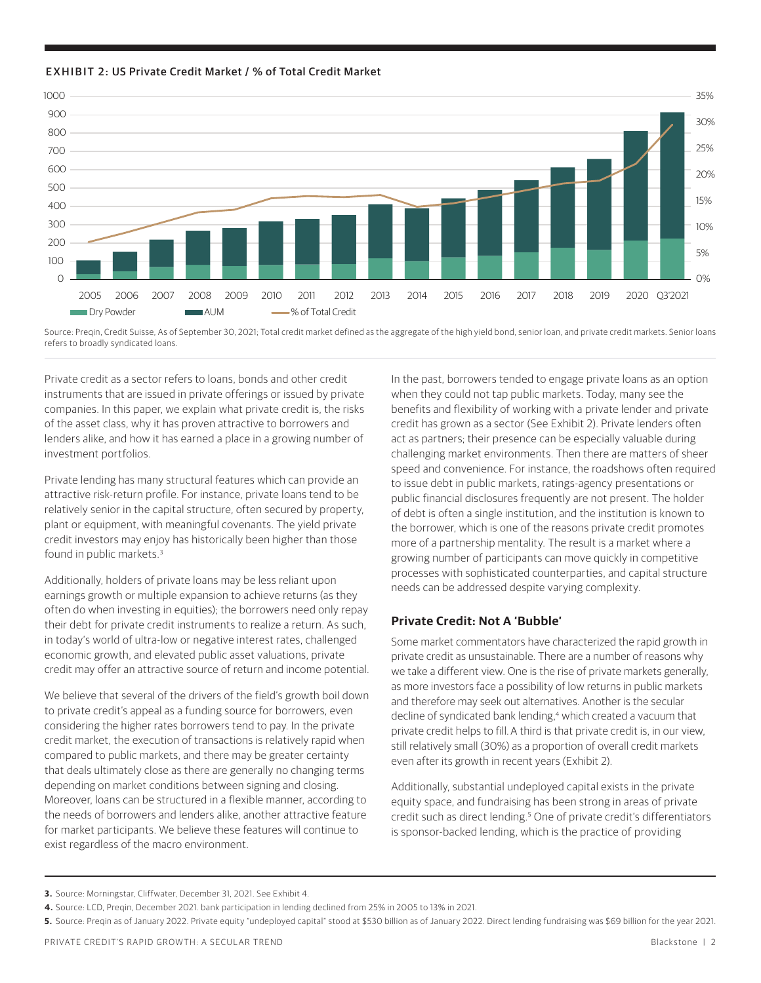



Source: Preqin, Credit Suisse, As of September 30, 2021; Total credit market defined as the aggregate of the high yield bond, senior loan, and private credit markets. Senior loans refers to broadly syndicated loans.

Private credit as a sector refers to loans, bonds and other credit instruments that are issued in private offerings or issued by private companies. In this paper, we explain what private credit is, the risks of the asset class, why it has proven attractive to borrowers and lenders alike, and how it has earned a place in a growing number of investment portfolios.

Private lending has many structural features which can provide an attractive risk-return profile. For instance, private loans tend to be relatively senior in the capital structure, often secured by property, plant or equipment, with meaningful covenants. The yield private credit investors may enjoy has historically been higher than those found in public markets.3

Additionally, holders of private loans may be less reliant upon earnings growth or multiple expansion to achieve returns (as they often do when investing in equities); the borrowers need only repay their debt for private credit instruments to realize a return. As such, in today's world of ultra-low or negative interest rates, challenged economic growth, and elevated public asset valuations, private credit may offer an attractive source of return and income potential.

We believe that several of the drivers of the field's growth boil down to private credit's appeal as a funding source for borrowers, even considering the higher rates borrowers tend to pay. In the private credit market, the execution of transactions is relatively rapid when compared to public markets, and there may be greater certainty that deals ultimately close as there are generally no changing terms depending on market conditions between signing and closing. Moreover, loans can be structured in a flexible manner, according to the needs of borrowers and lenders alike, another attractive feature for market participants. We believe these features will continue to exist regardless of the macro environment.

In the past, borrowers tended to engage private loans as an option when they could not tap public markets. Today, many see the benefits and flexibility of working with a private lender and private credit has grown as a sector (See Exhibit 2). Private lenders often act as partners; their presence can be especially valuable during challenging market environments. Then there are matters of sheer speed and convenience. For instance, the roadshows often required to issue debt in public markets, ratings-agency presentations or public financial disclosures frequently are not present. The holder of debt is often a single institution, and the institution is known to the borrower, which is one of the reasons private credit promotes more of a partnership mentality. The result is a market where a growing number of participants can move quickly in competitive processes with sophisticated counterparties, and capital structure needs can be addressed despite varying complexity.

### **Private Credit: Not A 'Bubble'**

Some market commentators have characterized the rapid growth in private credit as unsustainable. There are a number of reasons why we take a different view. One is the rise of private markets generally, as more investors face a possibility of low returns in public markets and therefore may seek out alternatives. Another is the secular decline of syndicated bank lending,<sup>4</sup> which created a vacuum that private credit helps to fill. A third is that private credit is, in our view, still relatively small (30%) as a proportion of overall credit markets even after its growth in recent years (Exhibit 2).

Additionally, substantial undeployed capital exists in the private equity space, and fundraising has been strong in areas of private credit such as direct lending.<sup>5</sup> One of private credit's differentiators is sponsor-backed lending, which is the practice of providing

**<sup>3.</sup>** Source: Morningstar, Cliffwater, December 31, 2021. See Exhibit 4.

**<sup>4.</sup>** Source: LCD, Preqin, December 2021. bank participation in lending declined from 25% in 2005 to 13% in 2021.

**<sup>5.</sup>** Source: Preqin as of January 2022. Private equity "undeployed capital" stood at \$530 billion as of January 2022. Direct lending fundraising was \$69 billion for the year 2021.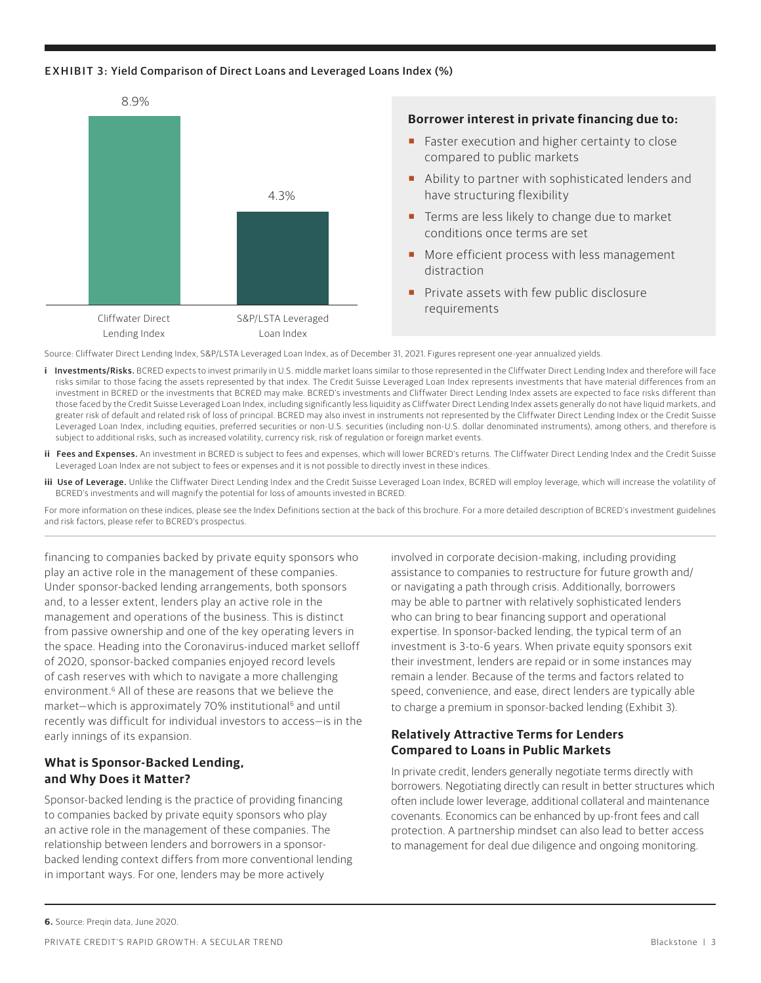#### EXHIBIT 3: Yield Comparison of Direct Loans and Leveraged Loans Index (%)



Source: Cliffwater Direct Lending Index, S&P/LSTA Leveraged Loan Index, as of December 31, 2021. Figures represent one-year annualized yields.

- i Investments/Risks. BCRED expects to invest primarily in U.S. middle market loans similar to those represented in the Cliffwater Direct Lending Index and therefore will face risks similar to those facing the assets represented by that index. The Credit Suisse Leveraged Loan Index represents investments that have material differences from an investment in BCRED or the investments that BCRED may make. BCRED's investments and Cliffwater Direct Lending Index assets are expected to face risks different than those faced by the Credit Suisse Leveraged Loan Index, including significantly less liquidity as Cliffwater Direct Lending Index assets generally do not have liquid markets, and greater risk of default and related risk of loss of principal. BCRED may also invest in instruments not represented by the Cliffwater Direct Lending Index or the Credit Suisse Leveraged Loan Index, including equities, preferred securities or non-U.S. securities (including non-U.S. dollar denominated instruments), among others, and therefore is subject to additional risks, such as increased volatility, currency risk, risk of regulation or foreign market events.
- ii Fees and Expenses. An investment in BCRED is subject to fees and expenses, which will lower BCRED's returns. The Cliffwater Direct Lending Index and the Credit Suisse Leveraged Loan Index are not subject to fees or expenses and it is not possible to directly invest in these indices.
- **iii Use of Leverage.** Unlike the Cliffwater Direct Lending Index and the Credit Suisse Leveraged Loan Index, BCRED will employ leverage, which will increase the volatility of BCRED's investments and will magnify the potential for loss of amounts invested in BCRED.

For more information on these indices, please see the Index Definitions section at the back of this brochure. For a more detailed description of BCRED's investment guidelines and risk factors, please refer to BCRED's prospectus.

financing to companies backed by private equity sponsors who play an active role in the management of these companies. Under sponsor-backed lending arrangements, both sponsors and, to a lesser extent, lenders play an active role in the management and operations of the business. This is distinct from passive ownership and one of the key operating levers in the space. Heading into the Coronavirus-induced market selloff of 2020, sponsor-backed companies enjoyed record levels of cash reserves with which to navigate a more challenging environment.6 All of these are reasons that we believe the market-which is approximately 70% institutional<sup>6</sup> and until recently was difficult for individual investors to access—is in the early innings of its expansion.

### **What is Sponsor-Backed Lending, and Why Does it Matter?**

Sponsor-backed lending is the practice of providing financing to companies backed by private equity sponsors who play an active role in the management of these companies. The relationship between lenders and borrowers in a sponsorbacked lending context differs from more conventional lending in important ways. For one, lenders may be more actively

involved in corporate decision-making, including providing assistance to companies to restructure for future growth and/ or navigating a path through crisis. Additionally, borrowers may be able to partner with relatively sophisticated lenders who can bring to bear financing support and operational expertise. In sponsor-backed lending, the typical term of an investment is 3-to-6 years. When private equity sponsors exit their investment, lenders are repaid or in some instances may remain a lender. Because of the terms and factors related to speed, convenience, and ease, direct lenders are typically able to charge a premium in sponsor-backed lending (Exhibit 3).

### **Relatively Attractive Terms for Lenders Compared to Loans in Public Markets**

In private credit, lenders generally negotiate terms directly with borrowers. Negotiating directly can result in better structures which often include lower leverage, additional collateral and maintenance covenants. Economics can be enhanced by up-front fees and call protection. A partnership mindset can also lead to better access to management for deal due diligence and ongoing monitoring.

**6.** Source: Preqin data, June 2020.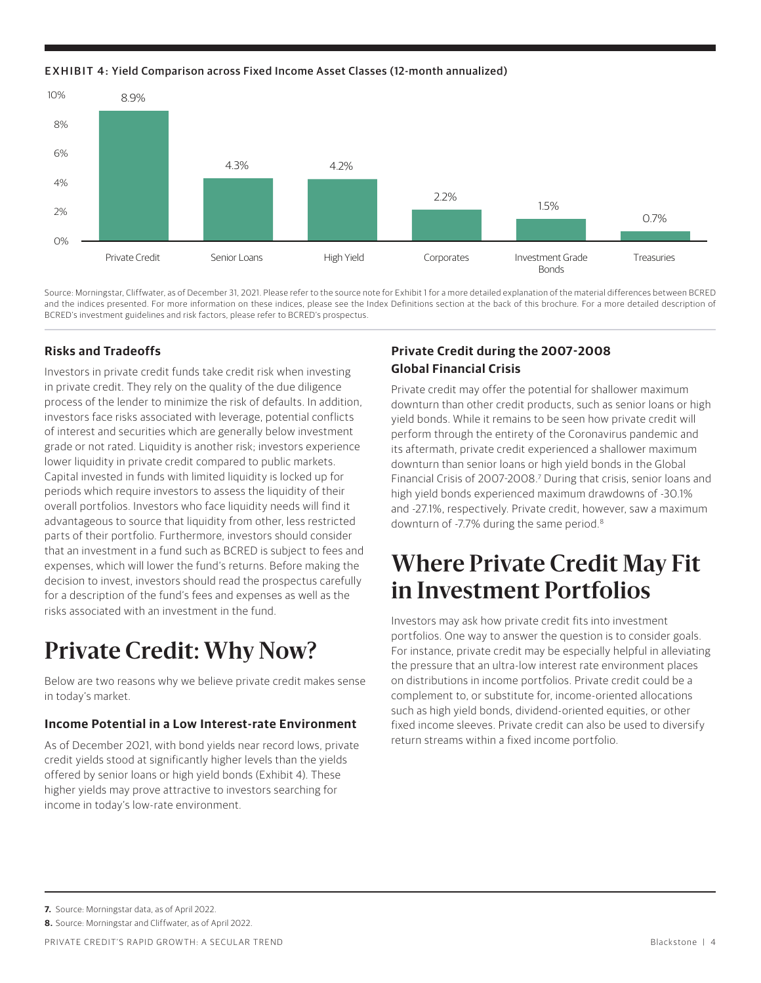EXHIBIT 4: Yield Comparison across Fixed Income Asset Classes (12-month annualized)



Source: Morningstar, Cliffwater, as of December 31, 2021. Please refer to the source note for Exhibit 1 for a more detailed explanation of the material differences between BCRED and the indices presented. For more information on these indices, please see the Index Definitions section at the back of this brochure. For a more detailed description of BCRED's investment guidelines and risk factors, please refer to BCRED's prospectus.

## **Risks and Tradeoffs**

Investors in private credit funds take credit risk when investing in private credit. They rely on the quality of the due diligence process of the lender to minimize the risk of defaults. In addition, investors face risks associated with leverage, potential conflicts of interest and securities which are generally below investment grade or not rated. Liquidity is another risk; investors experience lower liquidity in private credit compared to public markets. Capital invested in funds with limited liquidity is locked up for periods which require investors to assess the liquidity of their overall portfolios. Investors who face liquidity needs will find it advantageous to source that liquidity from other, less restricted parts of their portfolio. Furthermore, investors should consider that an investment in a fund such as BCRED is subject to fees and expenses, which will lower the fund's returns. Before making the decision to invest, investors should read the prospectus carefully for a description of the fund's fees and expenses as well as the risks associated with an investment in the fund.

# **Private Credit: Why Now?**

Below are two reasons why we believe private credit makes sense in today's market.

### **Income Potential in a Low Interest-rate Environment**

As of December 2021, with bond yields near record lows, private credit yields stood at significantly higher levels than the yields offered by senior loans or high yield bonds (Exhibit 4). These higher yields may prove attractive to investors searching for income in today's low-rate environment.

# **Private Credit during the 2007-2008 Global Financial Crisis**

Private credit may offer the potential for shallower maximum downturn than other credit products, such as senior loans or high yield bonds. While it remains to be seen how private credit will perform through the entirety of the Coronavirus pandemic and its aftermath, private credit experienced a shallower maximum downturn than senior loans or high yield bonds in the Global Financial Crisis of 2007-2008.<sup>7</sup> During that crisis, senior loans and high yield bonds experienced maximum drawdowns of -30.1% and -27.1%, respectively. Private credit, however, saw a maximum downturn of -7.7% during the same period.<sup>8</sup>

# **Where Private Credit May Fit in Investment Portfolios**

Investors may ask how private credit fits into investment portfolios. One way to answer the question is to consider goals. For instance, private credit may be especially helpful in alleviating the pressure that an ultra-low interest rate environment places on distributions in income portfolios. Private credit could be a complement to, or substitute for, income-oriented allocations such as high yield bonds, dividend-oriented equities, or other fixed income sleeves. Private credit can also be used to diversify return streams within a fixed income portfolio.

**7.** Source: Morningstar data, as of April 2022.

**8.** Source: Morningstar and Cliffwater, as of April 2022.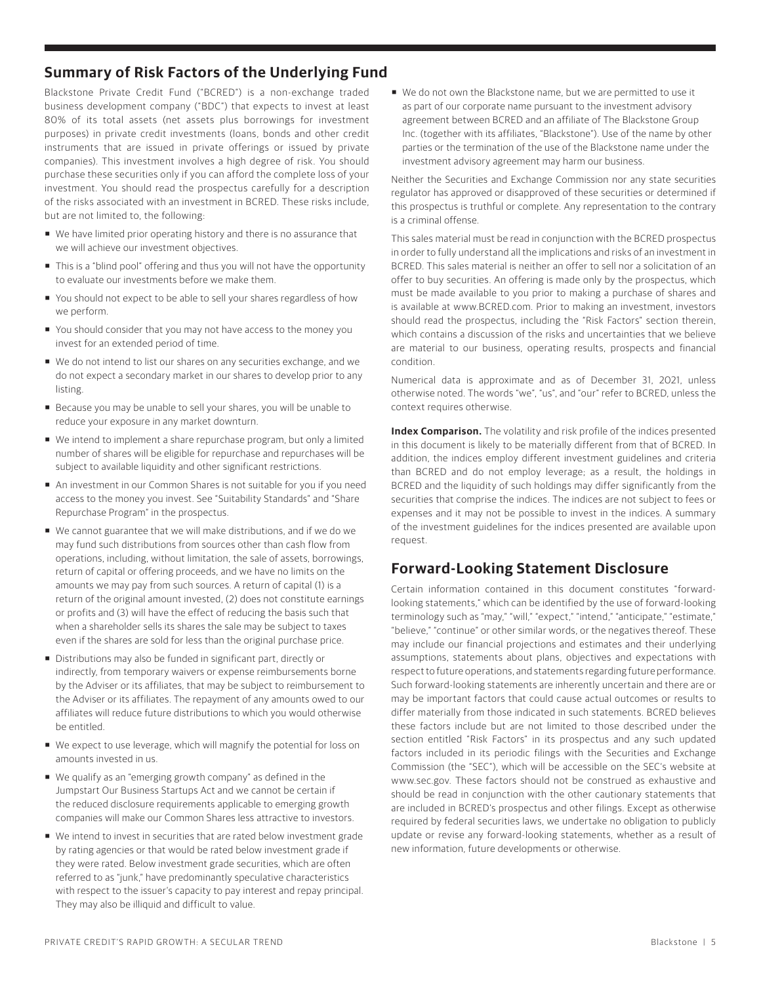## **Summary of Risk Factors of the Underlying Fund**

Blackstone Private Credit Fund ("BCRED") is a non-exchange traded business development company ("BDC") that expects to invest at least 80% of its total assets (net assets plus borrowings for investment purposes) in private credit investments (loans, bonds and other credit instruments that are issued in private offerings or issued by private companies). This investment involves a high degree of risk. You should purchase these securities only if you can afford the complete loss of your investment. You should read the prospectus carefully for a description of the risks associated with an investment in BCRED. These risks include, but are not limited to, the following:

- We have limited prior operating history and there is no assurance that we will achieve our investment objectives.
- This is a "blind pool" offering and thus you will not have the opportunity to evaluate our investments before we make them.
- You should not expect to be able to sell your shares regardless of how we perform.
- You should consider that you may not have access to the money you invest for an extended period of time.
- We do not intend to list our shares on any securities exchange, and we do not expect a secondary market in our shares to develop prior to any listing.
- Because you may be unable to sell your shares, you will be unable to reduce your exposure in any market downturn.
- We intend to implement a share repurchase program, but only a limited number of shares will be eligible for repurchase and repurchases will be subject to available liquidity and other significant restrictions.
- An investment in our Common Shares is not suitable for you if you need access to the money you invest. See "Suitability Standards" and "Share Repurchase Program" in the prospectus.
- We cannot guarantee that we will make distributions, and if we do we may fund such distributions from sources other than cash flow from operations, including, without limitation, the sale of assets, borrowings, return of capital or offering proceeds, and we have no limits on the amounts we may pay from such sources. A return of capital (1) is a return of the original amount invested, (2) does not constitute earnings or profits and (3) will have the effect of reducing the basis such that when a shareholder sells its shares the sale may be subject to taxes even if the shares are sold for less than the original purchase price.
- Distributions may also be funded in significant part, directly or indirectly, from temporary waivers or expense reimbursements borne by the Adviser or its affiliates, that may be subject to reimbursement to the Adviser or its affiliates. The repayment of any amounts owed to our affiliates will reduce future distributions to which you would otherwise be entitled.
- We expect to use leverage, which will magnify the potential for loss on amounts invested in us.
- We qualify as an "emerging growth company" as defined in the Jumpstart Our Business Startups Act and we cannot be certain if the reduced disclosure requirements applicable to emerging growth companies will make our Common Shares less attractive to investors.
- We intend to invest in securities that are rated below investment grade by rating agencies or that would be rated below investment grade if they were rated. Below investment grade securities, which are often referred to as "junk," have predominantly speculative characteristics with respect to the issuer's capacity to pay interest and repay principal. They may also be illiquid and difficult to value.

■ We do not own the Blackstone name, but we are permitted to use it as part of our corporate name pursuant to the investment advisory agreement between BCRED and an affiliate of The Blackstone Group Inc. (together with its affiliates, "Blackstone"). Use of the name by other parties or the termination of the use of the Blackstone name under the investment advisory agreement may harm our business.

Neither the Securities and Exchange Commission nor any state securities regulator has approved or disapproved of these securities or determined if this prospectus is truthful or complete. Any representation to the contrary is a criminal offense.

This sales material must be read in conjunction with the BCRED prospectus in order to fully understand all the implications and risks of an investment in BCRED. This sales material is neither an offer to sell nor a solicitation of an offer to buy securities. An offering is made only by the prospectus, which must be made available to you prior to making a purchase of shares and is available at www.BCRED.com. Prior to making an investment, investors should read the prospectus, including the "Risk Factors" section therein, which contains a discussion of the risks and uncertainties that we believe are material to our business, operating results, prospects and financial condition.

Numerical data is approximate and as of December 31, 2021, unless otherwise noted. The words "we", "us", and "our" refer to BCRED, unless the context requires otherwise.

**Index Comparison.** The volatility and risk profile of the indices presented in this document is likely to be materially different from that of BCRED. In addition, the indices employ different investment guidelines and criteria than BCRED and do not employ leverage; as a result, the holdings in BCRED and the liquidity of such holdings may differ significantly from the securities that comprise the indices. The indices are not subject to fees or expenses and it may not be possible to invest in the indices. A summary of the investment guidelines for the indices presented are available upon request.

## **Forward-Looking Statement Disclosure**

Certain information contained in this document constitutes "forwardlooking statements," which can be identified by the use of forward-looking terminology such as "may," "will," "expect," "intend," "anticipate," "estimate," "believe," "continue" or other similar words, or the negatives thereof. These may include our financial projections and estimates and their underlying assumptions, statements about plans, objectives and expectations with respect to future operations, and statements regarding future performance. Such forward-looking statements are inherently uncertain and there are or may be important factors that could cause actual outcomes or results to differ materially from those indicated in such statements. BCRED believes these factors include but are not limited to those described under the section entitled "Risk Factors" in its prospectus and any such updated factors included in its periodic filings with the Securities and Exchange Commission (the "SEC"), which will be accessible on the SEC's website at www.sec.gov. These factors should not be construed as exhaustive and should be read in conjunction with the other cautionary statements that are included in BCRED's prospectus and other filings. Except as otherwise required by federal securities laws, we undertake no obligation to publicly update or revise any forward-looking statements, whether as a result of new information, future developments or otherwise.